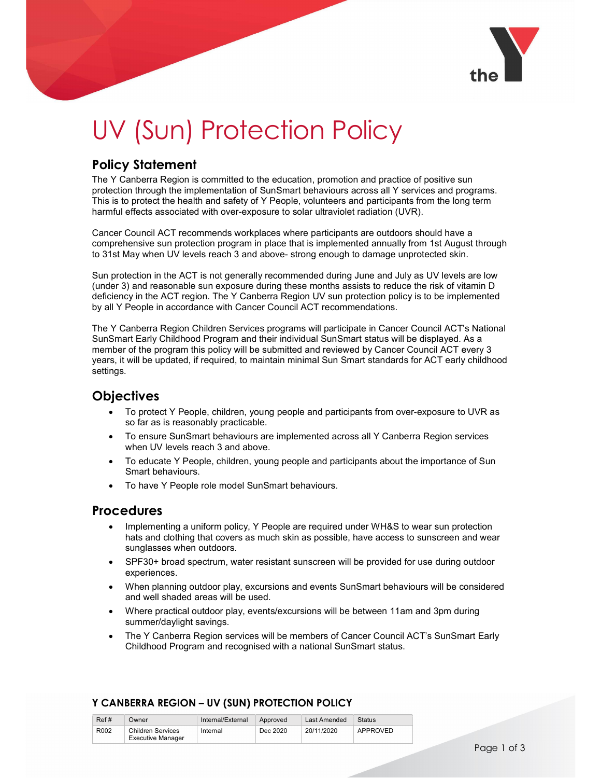

# UV (Sun) Protection Policy

# Policy Statement

The Y Canberra Region is committed to the education, promotion and practice of positive sun protection through the implementation of SunSmart behaviours across all Y services and programs. This is to protect the health and safety of Y People, volunteers and participants from the long term harmful effects associated with over-exposure to solar ultraviolet radiation (UVR).

Cancer Council ACT recommends workplaces where participants are outdoors should have a comprehensive sun protection program in place that is implemented annually from 1st August through to 31st May when UV levels reach 3 and above- strong enough to damage unprotected skin.

Sun protection in the ACT is not generally recommended during June and July as UV levels are low (under 3) and reasonable sun exposure during these months assists to reduce the risk of vitamin D deficiency in the ACT region. The Y Canberra Region UV sun protection policy is to be implemented by all Y People in accordance with Cancer Council ACT recommendations.

The Y Canberra Region Children Services programs will participate in Cancer Council ACT's National SunSmart Early Childhood Program and their individual SunSmart status will be displayed. As a member of the program this policy will be submitted and reviewed by Cancer Council ACT every 3 years, it will be updated, if required, to maintain minimal Sun Smart standards for ACT early childhood settings.

# Objectives

- To protect Y People, children, young people and participants from over-exposure to UVR as so far as is reasonably practicable.
- To ensure SunSmart behaviours are implemented across all Y Canberra Region services when UV levels reach 3 and above.
- To educate Y People, children, young people and participants about the importance of Sun Smart behaviours.
- To have Y People role model SunSmart behaviours.

## Procedures

- Implementing a uniform policy, Y People are required under WH&S to wear sun protection hats and clothing that covers as much skin as possible, have access to sunscreen and wear sunglasses when outdoors.
- SPF30+ broad spectrum, water resistant sunscreen will be provided for use during outdoor experiences.
- When planning outdoor play, excursions and events SunSmart behaviours will be considered and well shaded areas will be used.
- Where practical outdoor play, events/excursions will be between 11am and 3pm during summer/daylight savings.
- The Y Canberra Region services will be members of Cancer Council ACT's SunSmart Early Childhood Program and recognised with a national SunSmart status.

#### Y CANBERRA REGION – UV (SUN) PROTECTION POLICY

| Ref# | )wner                                  | Internal/External | Approved | Last Amended | Status   |
|------|----------------------------------------|-------------------|----------|--------------|----------|
| R002 | Children Services<br>Executive Manager | Internal          | Dec 2020 | 20/11/2020   | APPROVED |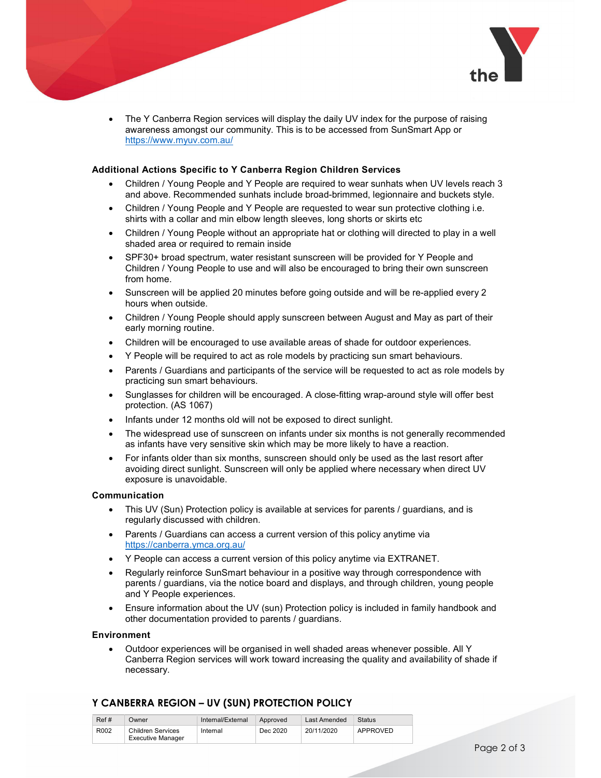

 The Y Canberra Region services will display the daily UV index for the purpose of raising awareness amongst our community. This is to be accessed from SunSmart App or https://www.myuv.com.au/

#### Additional Actions Specific to Y Canberra Region Children Services

- Children / Young People and Y People are required to wear sunhats when UV levels reach 3 and above. Recommended sunhats include broad-brimmed, legionnaire and buckets style.
- Children / Young People and Y People are requested to wear sun protective clothing i.e. shirts with a collar and min elbow length sleeves, long shorts or skirts etc
- Children / Young People without an appropriate hat or clothing will directed to play in a well shaded area or required to remain inside
- SPF30+ broad spectrum, water resistant sunscreen will be provided for Y People and Children / Young People to use and will also be encouraged to bring their own sunscreen from home.
- Sunscreen will be applied 20 minutes before going outside and will be re-applied every 2 hours when outside.
- Children / Young People should apply sunscreen between August and May as part of their early morning routine.
- Children will be encouraged to use available areas of shade for outdoor experiences.
- Y People will be required to act as role models by practicing sun smart behaviours.
- Parents / Guardians and participants of the service will be requested to act as role models by practicing sun smart behaviours.
- Sunglasses for children will be encouraged. A close-fitting wrap-around style will offer best protection. (AS 1067)
- Infants under 12 months old will not be exposed to direct sunlight.
- The widespread use of sunscreen on infants under six months is not generally recommended as infants have very sensitive skin which may be more likely to have a reaction.
- For infants older than six months, sunscreen should only be used as the last resort after avoiding direct sunlight. Sunscreen will only be applied where necessary when direct UV exposure is unavoidable.

#### Communication

- This UV (Sun) Protection policy is available at services for parents / guardians, and is regularly discussed with children.
- Parents / Guardians can access a current version of this policy anytime via https://canberra.ymca.org.au/
- Y People can access a current version of this policy anytime via EXTRANET.
- Regularly reinforce SunSmart behaviour in a positive way through correspondence with parents / guardians, via the notice board and displays, and through children, young people and Y People experiences.
- Ensure information about the UV (sun) Protection policy is included in family handbook and other documentation provided to parents / guardians.

#### Environment

 Outdoor experiences will be organised in well shaded areas whenever possible. All Y Canberra Region services will work toward increasing the quality and availability of shade if necessary.

#### Y CANBERRA REGION – UV (SUN) PROTECTION POLICY

| Ref# | Jwner                                         | Internal/External | Approved | Last Amended | Status   |
|------|-----------------------------------------------|-------------------|----------|--------------|----------|
| R002 | Children Services<br><b>Executive Manager</b> | Internal          | Dec 2020 | 20/11/2020   | APPROVED |